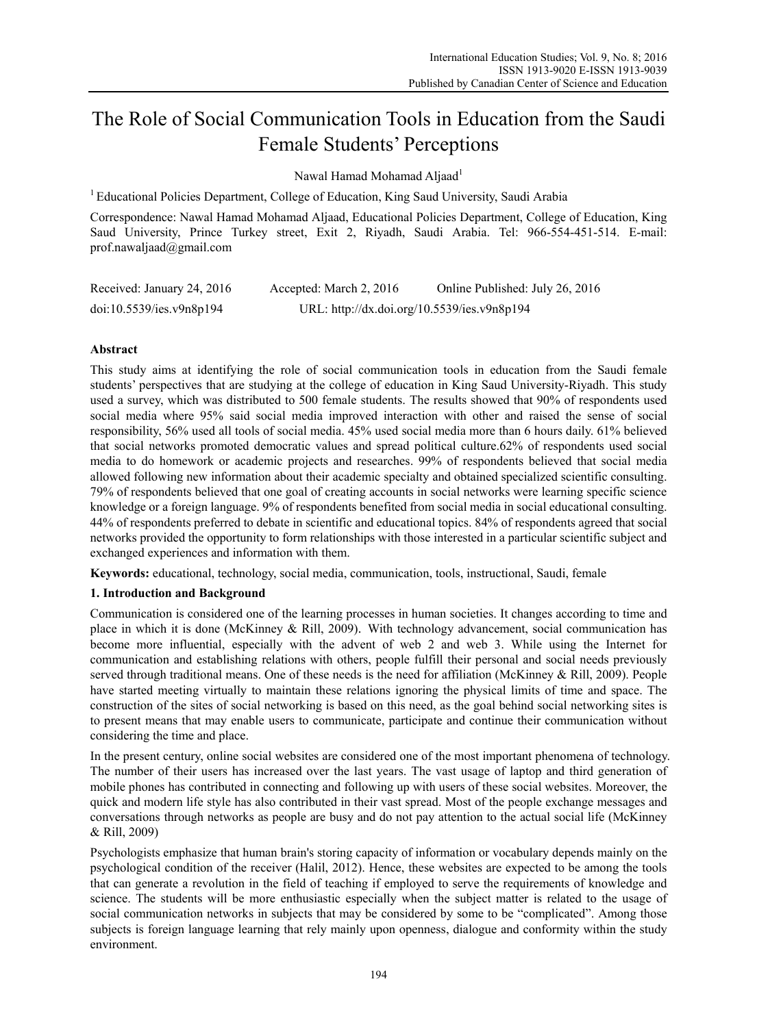# The Role of Social Communication Tools in Education from the Saudi Female Students' Perceptions

Nawal Hamad Mohamad Aljaad<sup>1</sup>

1 Educational Policies Department, College of Education, King Saud University, Saudi Arabia

Correspondence: Nawal Hamad Mohamad Aljaad, Educational Policies Department, College of Education, King Saud University, Prince Turkey street, Exit 2, Riyadh, Saudi Arabia. Tel: 966-554-451-514. E-mail: prof.nawaljaad@gmail.com

| Received: January 24, 2016 | Accepted: March 2, 2016                     | Online Published: July 26, 2016 |
|----------------------------|---------------------------------------------|---------------------------------|
| doi:10.5539/ies.v9n8p194   | URL: http://dx.doi.org/10.5539/ies.v9n8p194 |                                 |

# **Abstract**

This study aims at identifying the role of social communication tools in education from the Saudi female students' perspectives that are studying at the college of education in King Saud University-Riyadh. This study used a survey, which was distributed to 500 female students. The results showed that 90% of respondents used social media where 95% said social media improved interaction with other and raised the sense of social responsibility, 56% used all tools of social media. 45% used social media more than 6 hours daily. 61% believed that social networks promoted democratic values and spread political culture.62% of respondents used social media to do homework or academic projects and researches. 99% of respondents believed that social media allowed following new information about their academic specialty and obtained specialized scientific consulting. 79% of respondents believed that one goal of creating accounts in social networks were learning specific science knowledge or a foreign language. 9% of respondents benefited from social media in social educational consulting. 44% of respondents preferred to debate in scientific and educational topics. 84% of respondents agreed that social networks provided the opportunity to form relationships with those interested in a particular scientific subject and exchanged experiences and information with them.

**Keywords:** educational, technology, social media, communication, tools, instructional, Saudi, female

# **1. Introduction and Background**

Communication is considered one of the learning processes in human societies. It changes according to time and place in which it is done (McKinney & Rill, 2009). With technology advancement, social communication has become more influential, especially with the advent of web 2 and web 3. While using the Internet for communication and establishing relations with others, people fulfill their personal and social needs previously served through traditional means. One of these needs is the need for affiliation (McKinney & Rill, 2009). People have started meeting virtually to maintain these relations ignoring the physical limits of time and space. The construction of the sites of social networking is based on this need, as the goal behind social networking sites is to present means that may enable users to communicate, participate and continue their communication without considering the time and place.

In the present century, online social websites are considered one of the most important phenomena of technology. The number of their users has increased over the last years. The vast usage of laptop and third generation of mobile phones has contributed in connecting and following up with users of these social websites. Moreover, the quick and modern life style has also contributed in their vast spread. Most of the people exchange messages and conversations through networks as people are busy and do not pay attention to the actual social life (McKinney & Rill, 2009)

Psychologists emphasize that human brain's storing capacity of information or vocabulary depends mainly on the psychological condition of the receiver (Halil, 2012). Hence, these websites are expected to be among the tools that can generate a revolution in the field of teaching if employed to serve the requirements of knowledge and science. The students will be more enthusiastic especially when the subject matter is related to the usage of social communication networks in subjects that may be considered by some to be "complicated". Among those subjects is foreign language learning that rely mainly upon openness, dialogue and conformity within the study environment.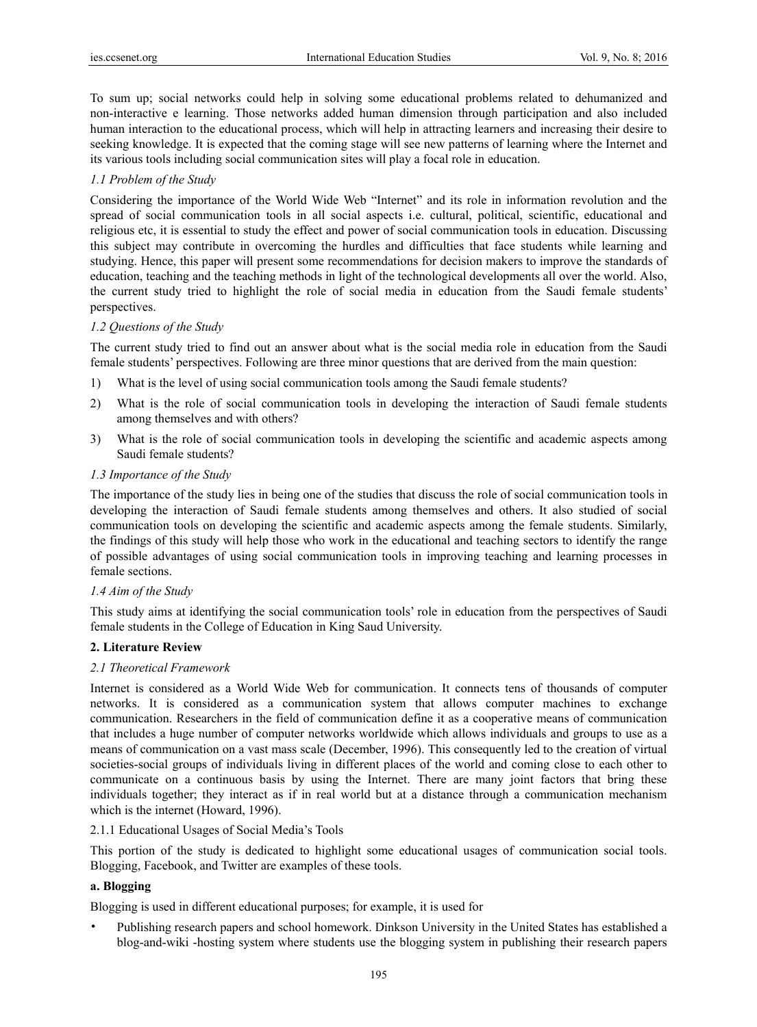To sum up; social networks could help in solving some educational problems related to dehumanized and non-interactive e learning. Those networks added human dimension through participation and also included human interaction to the educational process, which will help in attracting learners and increasing their desire to seeking knowledge. It is expected that the coming stage will see new patterns of learning where the Internet and its various tools including social communication sites will play a focal role in education.

## *1.1 Problem of the Study*

Considering the importance of the World Wide Web "Internet" and its role in information revolution and the spread of social communication tools in all social aspects i.e. cultural, political, scientific, educational and religious etc, it is essential to study the effect and power of social communication tools in education. Discussing this subject may contribute in overcoming the hurdles and difficulties that face students while learning and studying. Hence, this paper will present some recommendations for decision makers to improve the standards of education, teaching and the teaching methods in light of the technological developments all over the world. Also, the current study tried to highlight the role of social media in education from the Saudi female students' perspectives.

## *1.2 Questions of the Study*

The current study tried to find out an answer about what is the social media role in education from the Saudi female students' perspectives. Following are three minor questions that are derived from the main question:

- 1) What is the level of using social communication tools among the Saudi female students?
- 2) What is the role of social communication tools in developing the interaction of Saudi female students among themselves and with others?
- 3) What is the role of social communication tools in developing the scientific and academic aspects among Saudi female students?

## *1.3 Importance of the Study*

The importance of the study lies in being one of the studies that discuss the role of social communication tools in developing the interaction of Saudi female students among themselves and others. It also studied of social communication tools on developing the scientific and academic aspects among the female students. Similarly, the findings of this study will help those who work in the educational and teaching sectors to identify the range of possible advantages of using social communication tools in improving teaching and learning processes in female sections.

## *1.4 Aim of the Study*

This study aims at identifying the social communication tools' role in education from the perspectives of Saudi female students in the College of Education in King Saud University.

## **2. Literature Review**

## *2.1 Theoretical Framework*

Internet is considered as a World Wide Web for communication. It connects tens of thousands of computer networks. It is considered as a communication system that allows computer machines to exchange communication. Researchers in the field of communication define it as a cooperative means of communication that includes a huge number of computer networks worldwide which allows individuals and groups to use as a means of communication on a vast mass scale (December, 1996). This consequently led to the creation of virtual societies-social groups of individuals living in different places of the world and coming close to each other to communicate on a continuous basis by using the Internet. There are many joint factors that bring these individuals together; they interact as if in real world but at a distance through a communication mechanism which is the internet (Howard, 1996).

## 2.1.1 Educational Usages of Social Media's Tools

This portion of the study is dedicated to highlight some educational usages of communication social tools. Blogging, Facebook, and Twitter are examples of these tools.

## **a. Blogging**

Blogging is used in different educational purposes; for example, it is used for

• Publishing research papers and school homework. Dinkson University in the United States has established a blog-and-wiki -hosting system where students use the blogging system in publishing their research papers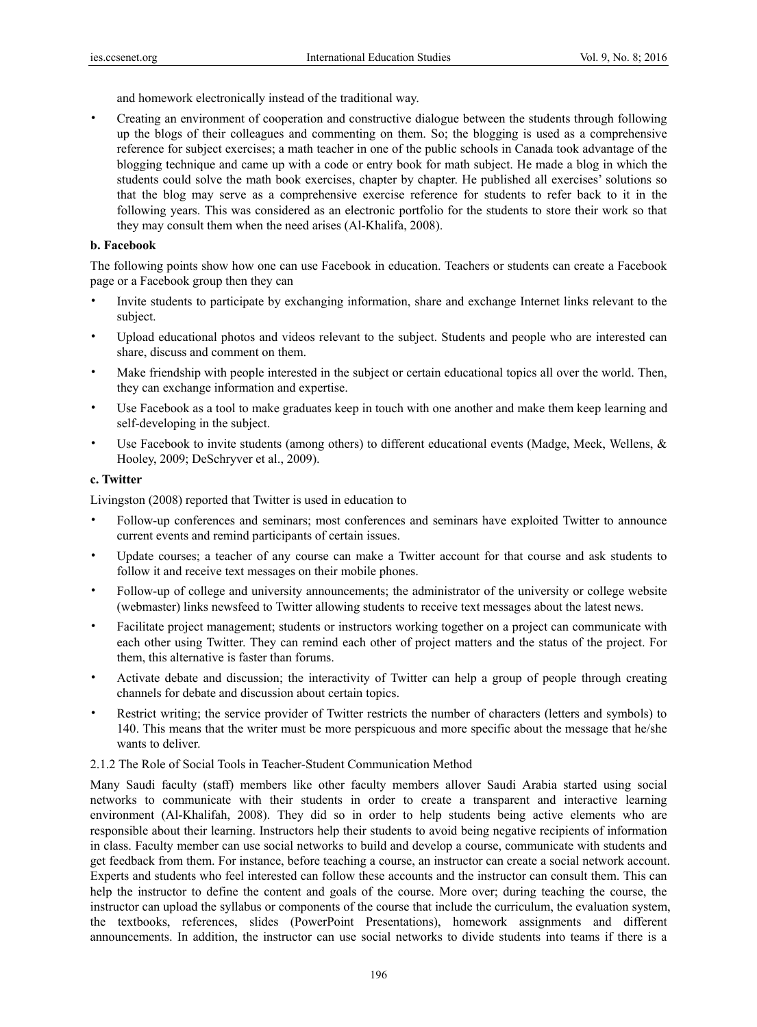and homework electronically instead of the traditional way.

• Creating an environment of cooperation and constructive dialogue between the students through following up the blogs of their colleagues and commenting on them. So; the blogging is used as a comprehensive reference for subject exercises; a math teacher in one of the public schools in Canada took advantage of the blogging technique and came up with a code or entry book for math subject. He made a blog in which the students could solve the math book exercises, chapter by chapter. He published all exercises' solutions so that the blog may serve as a comprehensive exercise reference for students to refer back to it in the following years. This was considered as an electronic portfolio for the students to store their work so that they may consult them when the need arises (Al-Khalifa, 2008).

## **b. Facebook**

The following points show how one can use Facebook in education. Teachers or students can create a Facebook page or a Facebook group then they can

- Invite students to participate by exchanging information, share and exchange Internet links relevant to the subject.
- Upload educational photos and videos relevant to the subject. Students and people who are interested can share, discuss and comment on them.
- Make friendship with people interested in the subject or certain educational topics all over the world. Then, they can exchange information and expertise.
- Use Facebook as a tool to make graduates keep in touch with one another and make them keep learning and self-developing in the subject.
- Use Facebook to invite students (among others) to different educational events (Madge, Meek, Wellens, & Hooley, 2009; DeSchryver et al., 2009).

## **c. Twitter**

Livingston (2008) reported that Twitter is used in education to

- Follow-up conferences and seminars; most conferences and seminars have exploited Twitter to announce current events and remind participants of certain issues.
- Update courses; a teacher of any course can make a Twitter account for that course and ask students to follow it and receive text messages on their mobile phones.
- Follow-up of college and university announcements; the administrator of the university or college website (webmaster) links newsfeed to Twitter allowing students to receive text messages about the latest news.
- Facilitate project management; students or instructors working together on a project can communicate with each other using Twitter. They can remind each other of project matters and the status of the project. For them, this alternative is faster than forums.
- Activate debate and discussion; the interactivity of Twitter can help a group of people through creating channels for debate and discussion about certain topics.
- Restrict writing; the service provider of Twitter restricts the number of characters (letters and symbols) to 140. This means that the writer must be more perspicuous and more specific about the message that he/she wants to deliver.

## 2.1.2 The Role of Social Tools in Teacher-Student Communication Method

Many Saudi faculty (staff) members like other faculty members allover Saudi Arabia started using social networks to communicate with their students in order to create a transparent and interactive learning environment (Al-Khalifah, 2008). They did so in order to help students being active elements who are responsible about their learning. Instructors help their students to avoid being negative recipients of information in class. Faculty member can use social networks to build and develop a course, communicate with students and get feedback from them. For instance, before teaching a course, an instructor can create a social network account. Experts and students who feel interested can follow these accounts and the instructor can consult them. This can help the instructor to define the content and goals of the course. More over; during teaching the course, the instructor can upload the syllabus or components of the course that include the curriculum, the evaluation system, the textbooks, references, slides (PowerPoint Presentations), homework assignments and different announcements. In addition, the instructor can use social networks to divide students into teams if there is a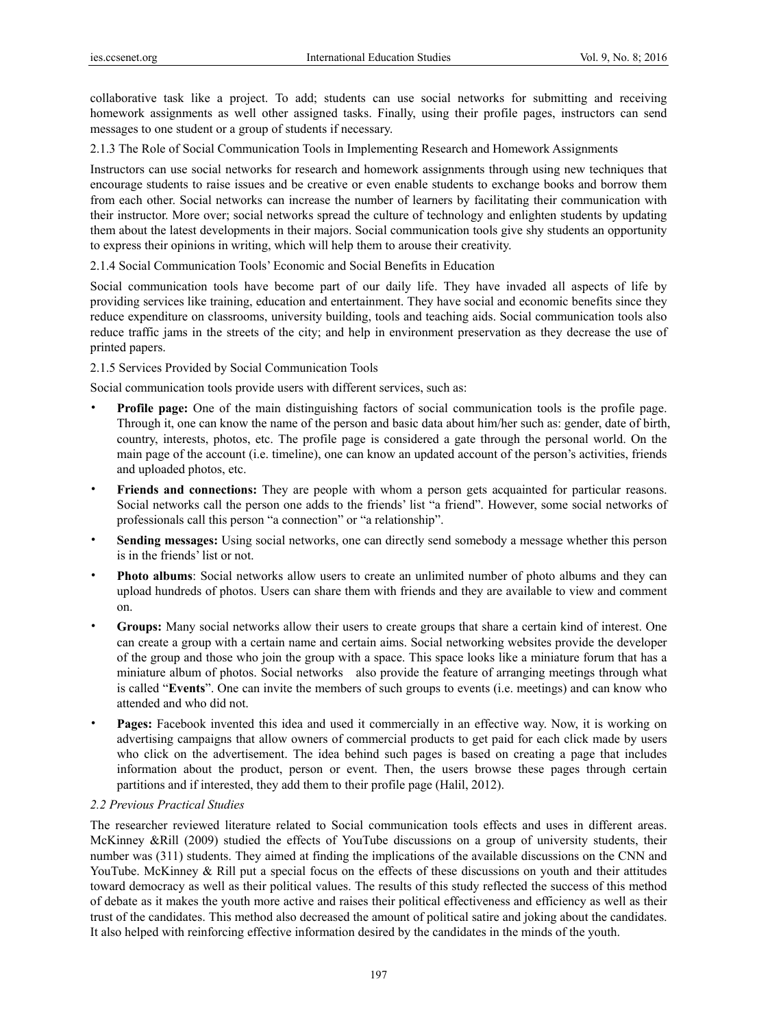collaborative task like a project. To add; students can use social networks for submitting and receiving homework assignments as well other assigned tasks. Finally, using their profile pages, instructors can send messages to one student or a group of students if necessary.

2.1.3 The Role of Social Communication Tools in Implementing Research and Homework Assignments

Instructors can use social networks for research and homework assignments through using new techniques that encourage students to raise issues and be creative or even enable students to exchange books and borrow them from each other. Social networks can increase the number of learners by facilitating their communication with their instructor. More over; social networks spread the culture of technology and enlighten students by updating them about the latest developments in their majors. Social communication tools give shy students an opportunity to express their opinions in writing, which will help them to arouse their creativity.

2.1.4 Social Communication Tools' Economic and Social Benefits in Education

Social communication tools have become part of our daily life. They have invaded all aspects of life by providing services like training, education and entertainment. They have social and economic benefits since they reduce expenditure on classrooms, university building, tools and teaching aids. Social communication tools also reduce traffic jams in the streets of the city; and help in environment preservation as they decrease the use of printed papers.

2.1.5 Services Provided by Social Communication Tools

Social communication tools provide users with different services, such as:

- **Profile page:** One of the main distinguishing factors of social communication tools is the profile page. Through it, one can know the name of the person and basic data about him/her such as: gender, date of birth, country, interests, photos, etc. The profile page is considered a gate through the personal world. On the main page of the account (i.e. timeline), one can know an updated account of the person's activities, friends and uploaded photos, etc.
- **Friends and connections:** They are people with whom a person gets acquainted for particular reasons. Social networks call the person one adds to the friends' list "a friend". However, some social networks of professionals call this person "a connection" or "a relationship".
- **Sending messages:** Using social networks, one can directly send somebody a message whether this person is in the friends' list or not.
- **Photo albums**: Social networks allow users to create an unlimited number of photo albums and they can upload hundreds of photos. Users can share them with friends and they are available to view and comment on.
- **Groups:** Many social networks allow their users to create groups that share a certain kind of interest. One can create a group with a certain name and certain aims. Social networking websites provide the developer of the group and those who join the group with a space. This space looks like a miniature forum that has a miniature album of photos. Social networks also provide the feature of arranging meetings through what is called "**Events**". One can invite the members of such groups to events (i.e. meetings) and can know who attended and who did not.
- **Pages:** Facebook invented this idea and used it commercially in an effective way. Now, it is working on advertising campaigns that allow owners of commercial products to get paid for each click made by users who click on the advertisement. The idea behind such pages is based on creating a page that includes information about the product, person or event. Then, the users browse these pages through certain partitions and if interested, they add them to their profile page (Halil, 2012).

# *2.2 Previous Practical Studies*

The researcher reviewed literature related to Social communication tools effects and uses in different areas. McKinney &Rill (2009) studied the effects of YouTube discussions on a group of university students, their number was (311) students. They aimed at finding the implications of the available discussions on the CNN and YouTube. McKinney & Rill put a special focus on the effects of these discussions on youth and their attitudes toward democracy as well as their political values. The results of this study reflected the success of this method of debate as it makes the youth more active and raises their political effectiveness and efficiency as well as their trust of the candidates. This method also decreased the amount of political satire and joking about the candidates. It also helped with reinforcing effective information desired by the candidates in the minds of the youth.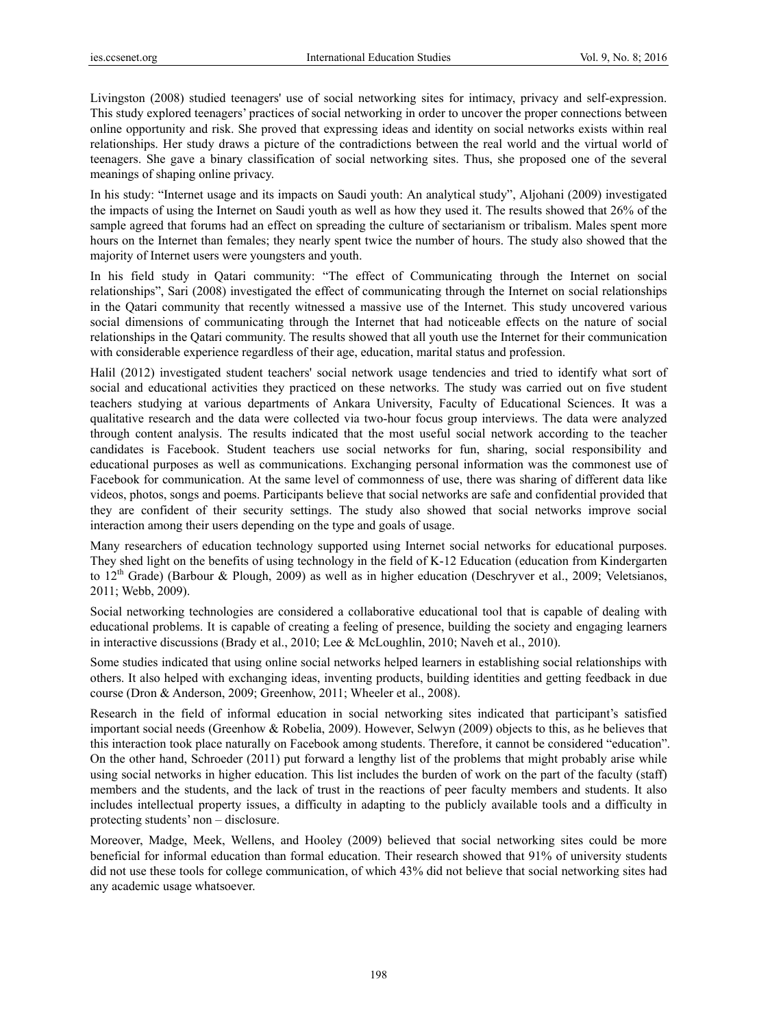Livingston (2008) studied teenagers' use of social networking sites for intimacy, privacy and self-expression. This study explored teenagers' practices of social networking in order to uncover the proper connections between online opportunity and risk. She proved that expressing ideas and identity on social networks exists within real relationships. Her study draws a picture of the contradictions between the real world and the virtual world of teenagers. She gave a binary classification of social networking sites. Thus, she proposed one of the several meanings of shaping online privacy.

In his study: "Internet usage and its impacts on Saudi youth: An analytical study", Aljohani (2009) investigated the impacts of using the Internet on Saudi youth as well as how they used it. The results showed that 26% of the sample agreed that forums had an effect on spreading the culture of sectarianism or tribalism. Males spent more hours on the Internet than females; they nearly spent twice the number of hours. The study also showed that the majority of Internet users were youngsters and youth.

In his field study in Qatari community: "The effect of Communicating through the Internet on social relationships", Sari (2008) investigated the effect of communicating through the Internet on social relationships in the Qatari community that recently witnessed a massive use of the Internet. This study uncovered various social dimensions of communicating through the Internet that had noticeable effects on the nature of social relationships in the Qatari community. The results showed that all youth use the Internet for their communication with considerable experience regardless of their age, education, marital status and profession.

Halil (2012) investigated student teachers' social network usage tendencies and tried to identify what sort of social and educational activities they practiced on these networks. The study was carried out on five student teachers studying at various departments of Ankara University, Faculty of Educational Sciences. It was a qualitative research and the data were collected via two-hour focus group interviews. The data were analyzed through content analysis. The results indicated that the most useful social network according to the teacher candidates is Facebook. Student teachers use social networks for fun, sharing, social responsibility and educational purposes as well as communications. Exchanging personal information was the commonest use of Facebook for communication. At the same level of commonness of use, there was sharing of different data like videos, photos, songs and poems. Participants believe that social networks are safe and confidential provided that they are confident of their security settings. The study also showed that social networks improve social interaction among their users depending on the type and goals of usage.

Many researchers of education technology supported using Internet social networks for educational purposes. They shed light on the benefits of using technology in the field of K-12 Education (education from Kindergarten to 12<sup>th</sup> Grade) (Barbour & Plough, 2009) as well as in higher education (Deschryver et al., 2009; Veletsianos, 2011; Webb, 2009).

Social networking technologies are considered a collaborative educational tool that is capable of dealing with educational problems. It is capable of creating a feeling of presence, building the society and engaging learners in interactive discussions (Brady et al., 2010; Lee & McLoughlin, 2010; Naveh et al., 2010).

Some studies indicated that using online social networks helped learners in establishing social relationships with others. It also helped with exchanging ideas, inventing products, building identities and getting feedback in due course (Dron & Anderson, 2009; Greenhow, 2011; Wheeler et al., 2008).

Research in the field of informal education in social networking sites indicated that participant's satisfied important social needs (Greenhow & Robelia, 2009). However, Selwyn (2009) objects to this, as he believes that this interaction took place naturally on Facebook among students. Therefore, it cannot be considered "education". On the other hand, Schroeder (2011) put forward a lengthy list of the problems that might probably arise while using social networks in higher education. This list includes the burden of work on the part of the faculty (staff) members and the students, and the lack of trust in the reactions of peer faculty members and students. It also includes intellectual property issues, a difficulty in adapting to the publicly available tools and a difficulty in protecting students' non – disclosure.

Moreover, Madge, Meek, Wellens, and Hooley (2009) believed that social networking sites could be more beneficial for informal education than formal education. Their research showed that 91% of university students did not use these tools for college communication, of which 43% did not believe that social networking sites had any academic usage whatsoever.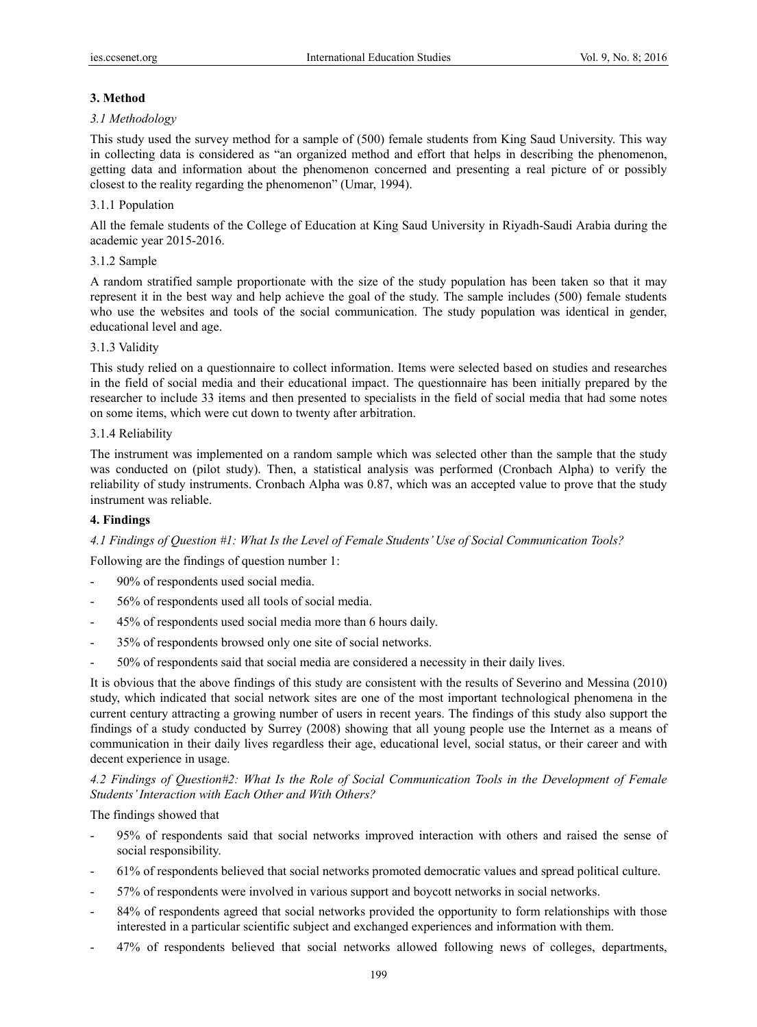# **3. Method**

# *3.1 Methodology*

This study used the survey method for a sample of (500) female students from King Saud University. This way in collecting data is considered as "an organized method and effort that helps in describing the phenomenon, getting data and information about the phenomenon concerned and presenting a real picture of or possibly closest to the reality regarding the phenomenon" (Umar, 1994).

# 3.1.1 Population

All the female students of the College of Education at King Saud University in Riyadh-Saudi Arabia during the academic year 2015-2016.

## 3.1.2 Sample

A random stratified sample proportionate with the size of the study population has been taken so that it may represent it in the best way and help achieve the goal of the study. The sample includes (500) female students who use the websites and tools of the social communication. The study population was identical in gender, educational level and age.

## 3.1.3 Validity

This study relied on a questionnaire to collect information. Items were selected based on studies and researches in the field of social media and their educational impact. The questionnaire has been initially prepared by the researcher to include 33 items and then presented to specialists in the field of social media that had some notes on some items, which were cut down to twenty after arbitration.

## 3.1.4 Reliability

The instrument was implemented on a random sample which was selected other than the sample that the study was conducted on (pilot study). Then, a statistical analysis was performed (Cronbach Alpha) to verify the reliability of study instruments. Cronbach Alpha was 0.87, which was an accepted value to prove that the study instrument was reliable.

# **4. Findings**

*4.1 Findings of Question #1: What Is the Level of Female Students' Use of Social Communication Tools?* 

Following are the findings of question number 1:

- 90% of respondents used social media.
- 56% of respondents used all tools of social media.
- 45% of respondents used social media more than 6 hours daily.
- 35% of respondents browsed only one site of social networks.
- 50% of respondents said that social media are considered a necessity in their daily lives.

It is obvious that the above findings of this study are consistent with the results of Severino and Messina (2010) study, which indicated that social network sites are one of the most important technological phenomena in the current century attracting a growing number of users in recent years. The findings of this study also support the findings of a study conducted by Surrey (2008) showing that all young people use the Internet as a means of communication in their daily lives regardless their age, educational level, social status, or their career and with decent experience in usage.

*4.2 Findings of Question#2: What Is the Role of Social Communication Tools in the Development of Female Students' Interaction with Each Other and With Others?* 

The findings showed that

- 95% of respondents said that social networks improved interaction with others and raised the sense of social responsibility.
- 61% of respondents believed that social networks promoted democratic values and spread political culture.
- 57% of respondents were involved in various support and boycott networks in social networks.
- 84% of respondents agreed that social networks provided the opportunity to form relationships with those interested in a particular scientific subject and exchanged experiences and information with them.
- 47% of respondents believed that social networks allowed following news of colleges, departments,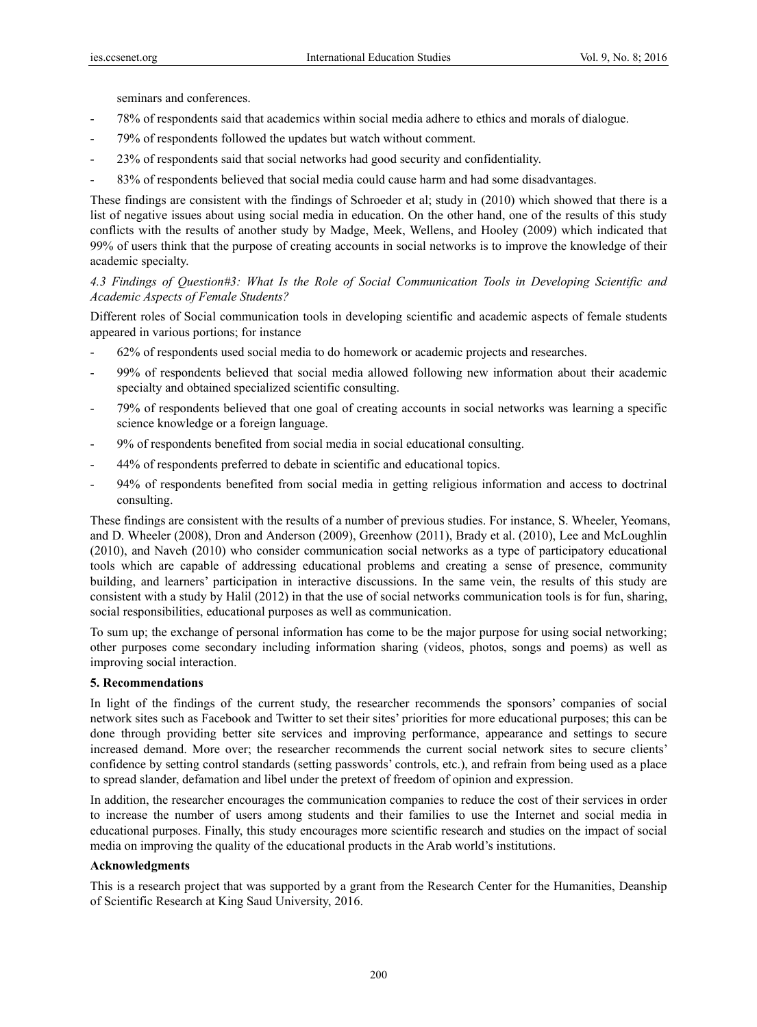seminars and conferences.

- 78% of respondents said that academics within social media adhere to ethics and morals of dialogue.
- 79% of respondents followed the updates but watch without comment.
- 23% of respondents said that social networks had good security and confidentiality.
- 83% of respondents believed that social media could cause harm and had some disadvantages.

These findings are consistent with the findings of Schroeder et al; study in (2010) which showed that there is a list of negative issues about using social media in education. On the other hand, one of the results of this study conflicts with the results of another study by Madge, Meek, Wellens, and Hooley (2009) which indicated that 99% of users think that the purpose of creating accounts in social networks is to improve the knowledge of their academic specialty.

*4.3 Findings of Question#3: What Is the Role of Social Communication Tools in Developing Scientific and Academic Aspects of Female Students?* 

Different roles of Social communication tools in developing scientific and academic aspects of female students appeared in various portions; for instance

- 62% of respondents used social media to do homework or academic projects and researches.
- 99% of respondents believed that social media allowed following new information about their academic specialty and obtained specialized scientific consulting.
- 79% of respondents believed that one goal of creating accounts in social networks was learning a specific science knowledge or a foreign language.
- 9% of respondents benefited from social media in social educational consulting.
- 44% of respondents preferred to debate in scientific and educational topics.
- 94% of respondents benefited from social media in getting religious information and access to doctrinal consulting.

These findings are consistent with the results of a number of previous studies. For instance, S. Wheeler, Yeomans, and D. Wheeler (2008), Dron and Anderson (2009), Greenhow (2011), Brady et al. (2010), Lee and McLoughlin (2010), and Naveh (2010) who consider communication social networks as a type of participatory educational tools which are capable of addressing educational problems and creating a sense of presence, community building, and learners' participation in interactive discussions. In the same vein, the results of this study are consistent with a study by Halil (2012) in that the use of social networks communication tools is for fun, sharing, social responsibilities, educational purposes as well as communication.

To sum up; the exchange of personal information has come to be the major purpose for using social networking; other purposes come secondary including information sharing (videos, photos, songs and poems) as well as improving social interaction.

## **5. Recommendations**

In light of the findings of the current study, the researcher recommends the sponsors' companies of social network sites such as Facebook and Twitter to set their sites' priorities for more educational purposes; this can be done through providing better site services and improving performance, appearance and settings to secure increased demand. More over; the researcher recommends the current social network sites to secure clients' confidence by setting control standards (setting passwords' controls, etc.), and refrain from being used as a place to spread slander, defamation and libel under the pretext of freedom of opinion and expression.

In addition, the researcher encourages the communication companies to reduce the cost of their services in order to increase the number of users among students and their families to use the Internet and social media in educational purposes. Finally, this study encourages more scientific research and studies on the impact of social media on improving the quality of the educational products in the Arab world's institutions.

## **Acknowledgments**

This is a research project that was supported by a grant from the Research Center for the Humanities, Deanship of Scientific Research at King Saud University, 2016.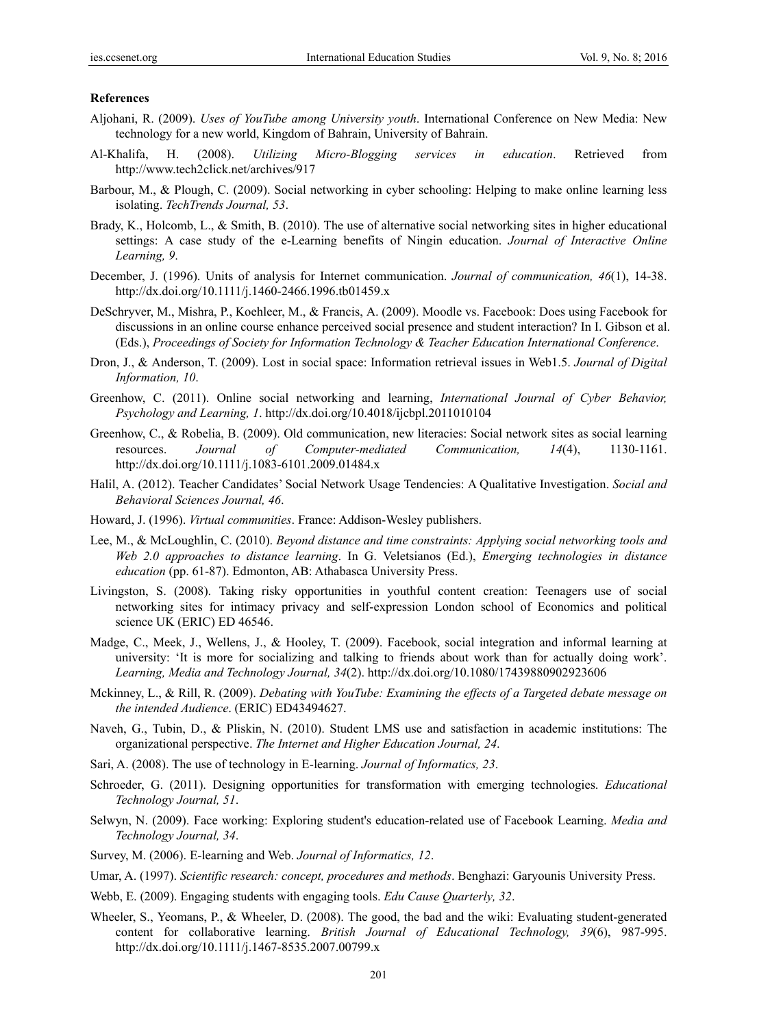#### **References**

- Aljohani, R. (2009). *Uses of YouTube among University youth*. International Conference on New Media: New technology for a new world, Kingdom of Bahrain, University of Bahrain.
- Al-Khalifa, H. (2008). *Utilizing Micro-Blogging services in education*. Retrieved from http://www.tech2click.net/archives/917
- Barbour, M., & Plough, C. (2009). Social networking in cyber schooling: Helping to make online learning less isolating. *TechTrends Journal, 53*.
- Brady, K., Holcomb, L., & Smith, B. (2010). The use of alternative social networking sites in higher educational settings: A case study of the e-Learning benefits of Ningin education. *Journal of Interactive Online Learning, 9*.
- December, J. (1996). Units of analysis for Internet communication. *Journal of communication, 46*(1), 14-38. http://dx.doi.org/10.1111/j.1460-2466.1996.tb01459.x
- DeSchryver, M., Mishra, P., Koehleer, M., & Francis, A. (2009). Moodle vs. Facebook: Does using Facebook for discussions in an online course enhance perceived social presence and student interaction? In I. Gibson et al. (Eds.), *Proceedings of Society for Information Technology & Teacher Education International Conference*.
- Dron, J., & Anderson, T. (2009). Lost in social space: Information retrieval issues in Web1.5. *Journal of Digital Information, 10*.
- Greenhow, C. (2011). Online social networking and learning, *International Journal of Cyber Behavior, Psychology and Learning, 1*. http://dx.doi.org/10.4018/ijcbpl.2011010104
- Greenhow, C., & Robelia, B. (2009). Old communication, new literacies: Social network sites as social learning resources. *Journal of Computer-mediated Communication, 14*(4), 1130-1161. http://dx.doi.org/10.1111/j.1083-6101.2009.01484.x
- Halil, A. (2012). Teacher Candidates' Social Network Usage Tendencies: A Qualitative Investigation. *Social and Behavioral Sciences Journal, 46*.
- Howard, J. (1996). *Virtual communities*. France: Addison-Wesley publishers.
- Lee, M., & McLoughlin, C. (2010). *Beyond distance and time constraints: Applying social networking tools and Web 2.0 approaches to distance learning*. In G. Veletsianos (Ed.), *Emerging technologies in distance education* (pp. 61-87). Edmonton, AB: Athabasca University Press.
- Livingston, S. (2008). Taking risky opportunities in youthful content creation: Teenagers use of social networking sites for intimacy privacy and self-expression London school of Economics and political science UK (ERIC) ED 46546.
- Madge, C., Meek, J., Wellens, J., & Hooley, T. (2009). Facebook, social integration and informal learning at university: 'It is more for socializing and talking to friends about work than for actually doing work'. *Learning, Media and Technology Journal, 34*(2). http://dx.doi.org/10.1080/17439880902923606
- Mckinney, L., & Rill, R. (2009). *Debating with YouTube: Examining the effects of a Targeted debate message on the intended Audience*. (ERIC) ED43494627.
- Naveh, G., Tubin, D., & Pliskin, N. (2010). Student LMS use and satisfaction in academic institutions: The organizational perspective. *The Internet and Higher Education Journal, 24*.
- Sari, A. (2008). The use of technology in E-learning. *Journal of Informatics, 23*.
- Schroeder, G. (2011). Designing opportunities for transformation with emerging technologies. *Educational Technology Journal, 51*.
- Selwyn, N. (2009). Face working: Exploring student's education-related use of Facebook Learning. *Media and Technology Journal, 34*.
- Survey, M. (2006). E-learning and Web. *Journal of Informatics, 12*.
- Umar, A. (1997). *Scientific research: concept, procedures and methods*. Benghazi: Garyounis University Press.
- Webb, E. (2009). Engaging students with engaging tools. *Edu Cause Quarterly, 32*.
- Wheeler, S., Yeomans, P., & Wheeler, D. (2008). The good, the bad and the wiki: Evaluating student-generated content for collaborative learning. *British Journal of Educational Technology, 39*(6), 987-995. http://dx.doi.org/10.1111/j.1467-8535.2007.00799.x